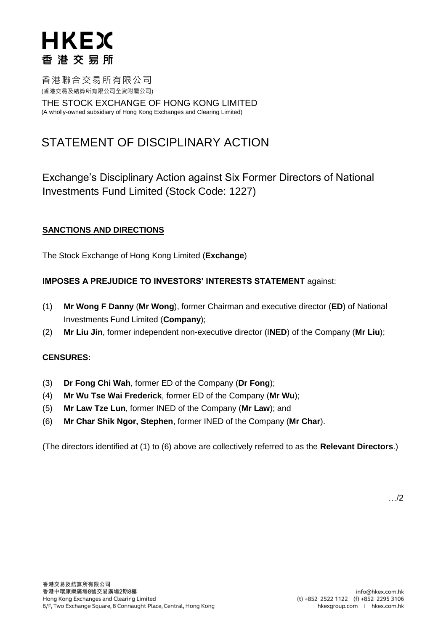香港聯合交易所有限公司 (香港交易及結算所有限公司全資附屬公司)

THE STOCK EXCHANGE OF HONG KONG LIMITED (A wholly-owned subsidiary of Hong Kong Exchanges and Clearing Limited)

### STATEMENT OF DISCIPLINARY ACTION

Exchange's Disciplinary Action against Six Former Directors of National Investments Fund Limited (Stock Code: 1227)

### **SANCTIONS AND DIRECTIONS**

The Stock Exchange of Hong Kong Limited (**Exchange**)

### **IMPOSES A PREJUDICE TO INVESTORS' INTERESTS STATEMENT** against:

- (1) **Mr Wong F Danny** (**Mr Wong**), former Chairman and executive director (**ED**) of National Investments Fund Limited (**Company**);
- (2) **Mr Liu Jin**, former independent non-executive director (I**NED**) of the Company (**Mr Liu**);

### **CENSURES:**

- (3) **Dr Fong Chi Wah**, former ED of the Company (**Dr Fong**);
- (4) **Mr Wu Tse Wai Frederick**, former ED of the Company (**Mr Wu**);
- (5) **Mr Law Tze Lun**, former INED of the Company (**Mr Law**); and
- (6) **Mr Char Shik Ngor, Stephen**, former INED of the Company (**Mr Char**).

(The directors identified at (1) to (6) above are collectively referred to as the **Relevant Directors**.)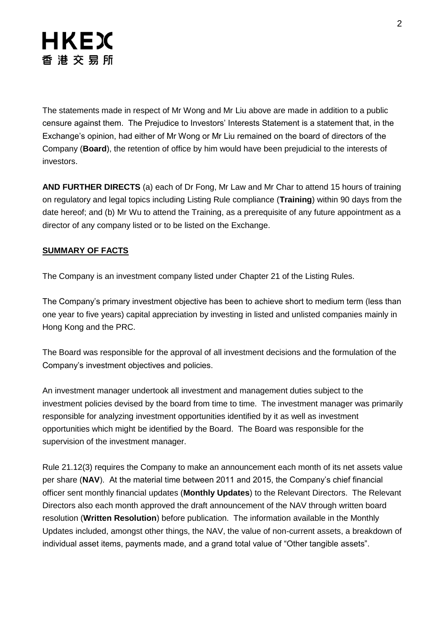The statements made in respect of Mr Wong and Mr Liu above are made in addition to a public censure against them. The Prejudice to Investors' Interests Statement is a statement that, in the Exchange's opinion, had either of Mr Wong or Mr Liu remained on the board of directors of the Company (**Board**), the retention of office by him would have been prejudicial to the interests of investors.

**AND FURTHER DIRECTS** (a) each of Dr Fong, Mr Law and Mr Char to attend 15 hours of training on regulatory and legal topics including Listing Rule compliance (**Training**) within 90 days from the date hereof; and (b) Mr Wu to attend the Training, as a prerequisite of any future appointment as a director of any company listed or to be listed on the Exchange.

### **SUMMARY OF FACTS**

The Company is an investment company listed under Chapter 21 of the Listing Rules.

The Company's primary investment objective has been to achieve short to medium term (less than one year to five years) capital appreciation by investing in listed and unlisted companies mainly in Hong Kong and the PRC.

The Board was responsible for the approval of all investment decisions and the formulation of the Company's investment objectives and policies.

An investment manager undertook all investment and management duties subject to the investment policies devised by the board from time to time. The investment manager was primarily responsible for analyzing investment opportunities identified by it as well as investment opportunities which might be identified by the Board. The Board was responsible for the supervision of the investment manager.

Rule 21.12(3) requires the Company to make an announcement each month of its net assets value per share (**NAV**). At the material time between 2011 and 2015, the Company's chief financial officer sent monthly financial updates (**Monthly Updates**) to the Relevant Directors. The Relevant Directors also each month approved the draft announcement of the NAV through written board resolution (**Written Resolution**) before publication. The information available in the Monthly Updates included, amongst other things, the NAV, the value of non-current assets, a breakdown of individual asset items, payments made, and a grand total value of "Other tangible assets".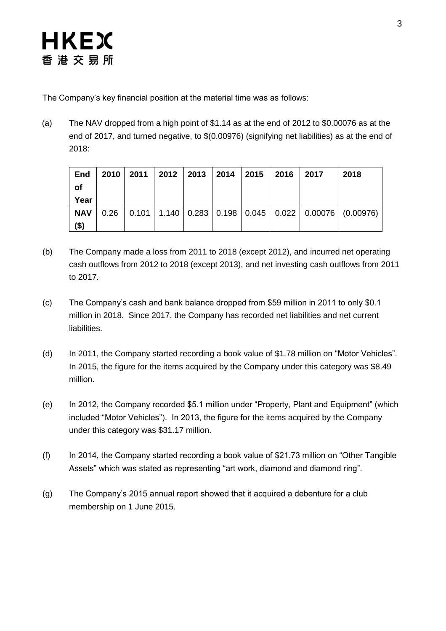The Company's key financial position at the material time was as follows:

(a) The NAV dropped from a high point of \$1.14 as at the end of 2012 to \$0.00076 as at the end of 2017, and turned negative, to \$(0.00976) (signifying net liabilities) as at the end of 2018:

| <b>End</b><br>of<br>Year | 2010 2011 | 2012 2013 |  | 2014 2015 2016 | 2017 | 2018                                                                         |
|--------------------------|-----------|-----------|--|----------------|------|------------------------------------------------------------------------------|
| <b>NAV</b><br>$($ \$)    |           |           |  |                |      | $0.26$   0.101   1.140   0.283   0.198   0.045   0.022   0.00076   (0.00976) |

- (b) The Company made a loss from 2011 to 2018 (except 2012), and incurred net operating cash outflows from 2012 to 2018 (except 2013), and net investing cash outflows from 2011 to 2017.
- (c) The Company's cash and bank balance dropped from \$59 million in 2011 to only \$0.1 million in 2018. Since 2017, the Company has recorded net liabilities and net current liabilities.
- (d) In 2011, the Company started recording a book value of \$1.78 million on "Motor Vehicles". In 2015, the figure for the items acquired by the Company under this category was \$8.49 million.
- (e) In 2012, the Company recorded \$5.1 million under "Property, Plant and Equipment" (which included "Motor Vehicles"). In 2013, the figure for the items acquired by the Company under this category was \$31.17 million.
- (f) In 2014, the Company started recording a book value of \$21.73 million on "Other Tangible Assets" which was stated as representing "art work, diamond and diamond ring".
- (g) The Company's 2015 annual report showed that it acquired a debenture for a club membership on 1 June 2015.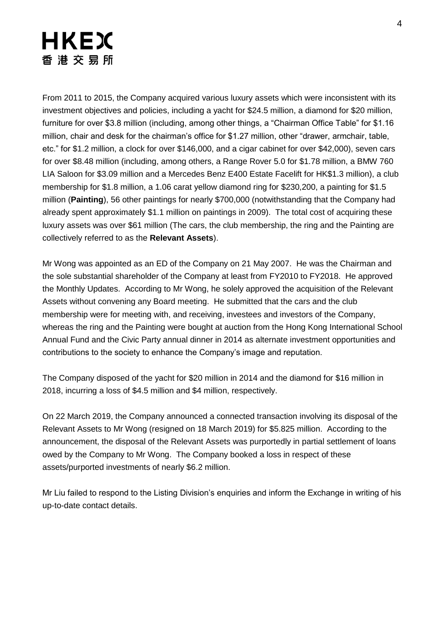# **HKEX** 香 港 交 易 所

From 2011 to 2015, the Company acquired various luxury assets which were inconsistent with its investment objectives and policies, including a yacht for \$24.5 million, a diamond for \$20 million, furniture for over \$3.8 million (including, among other things, a "Chairman Office Table" for \$1.16 million, chair and desk for the chairman's office for \$1.27 million, other "drawer, armchair, table, etc." for \$1.2 million, a clock for over \$146,000, and a cigar cabinet for over \$42,000), seven cars for over \$8.48 million (including, among others, a Range Rover 5.0 for \$1.78 million, a BMW 760 LIA Saloon for \$3.09 million and a Mercedes Benz E400 Estate Facelift for HK\$1.3 million), a club membership for \$1.8 million, a 1.06 carat yellow diamond ring for \$230,200, a painting for \$1.5 million (**Painting**), 56 other paintings for nearly \$700,000 (notwithstanding that the Company had already spent approximately \$1.1 million on paintings in 2009). The total cost of acquiring these luxury assets was over \$61 million (The cars, the club membership, the ring and the Painting are collectively referred to as the **Relevant Assets**).

Mr Wong was appointed as an ED of the Company on 21 May 2007. He was the Chairman and the sole substantial shareholder of the Company at least from FY2010 to FY2018. He approved the Monthly Updates. According to Mr Wong, he solely approved the acquisition of the Relevant Assets without convening any Board meeting. He submitted that the cars and the club membership were for meeting with, and receiving, investees and investors of the Company, whereas the ring and the Painting were bought at auction from the Hong Kong International School Annual Fund and the Civic Party annual dinner in 2014 as alternate investment opportunities and contributions to the society to enhance the Company's image and reputation.

The Company disposed of the yacht for \$20 million in 2014 and the diamond for \$16 million in 2018, incurring a loss of \$4.5 million and \$4 million, respectively.

On 22 March 2019, the Company announced a connected transaction involving its disposal of the Relevant Assets to Mr Wong (resigned on 18 March 2019) for \$5.825 million. According to the announcement, the disposal of the Relevant Assets was purportedly in partial settlement of loans owed by the Company to Mr Wong. The Company booked a loss in respect of these assets/purported investments of nearly \$6.2 million.

Mr Liu failed to respond to the Listing Division's enquiries and inform the Exchange in writing of his up-to-date contact details.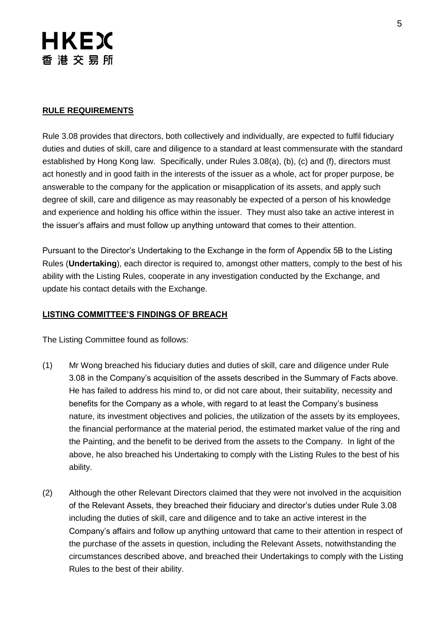### **RULE REQUIREMENTS**

Rule 3.08 provides that directors, both collectively and individually, are expected to fulfil fiduciary duties and duties of skill, care and diligence to a standard at least commensurate with the standard established by Hong Kong law. Specifically, under Rules 3.08(a), (b), (c) and (f), directors must act honestly and in good faith in the interests of the issuer as a whole, act for proper purpose, be answerable to the company for the application or misapplication of its assets, and apply such degree of skill, care and diligence as may reasonably be expected of a person of his knowledge and experience and holding his office within the issuer. They must also take an active interest in the issuer's affairs and must follow up anything untoward that comes to their attention.

Pursuant to the Director's Undertaking to the Exchange in the form of Appendix 5B to the Listing Rules (**Undertaking**), each director is required to, amongst other matters, comply to the best of his ability with the Listing Rules, cooperate in any investigation conducted by the Exchange, and update his contact details with the Exchange.

#### **LISTING COMMITTEE'S FINDINGS OF BREACH**

The Listing Committee found as follows:

- (1) Mr Wong breached his fiduciary duties and duties of skill, care and diligence under Rule 3.08 in the Company's acquisition of the assets described in the Summary of Facts above. He has failed to address his mind to, or did not care about, their suitability, necessity and benefits for the Company as a whole, with regard to at least the Company's business nature, its investment objectives and policies, the utilization of the assets by its employees, the financial performance at the material period, the estimated market value of the ring and the Painting, and the benefit to be derived from the assets to the Company. In light of the above, he also breached his Undertaking to comply with the Listing Rules to the best of his ability.
- (2) Although the other Relevant Directors claimed that they were not involved in the acquisition of the Relevant Assets, they breached their fiduciary and director's duties under Rule 3.08 including the duties of skill, care and diligence and to take an active interest in the Company's affairs and follow up anything untoward that came to their attention in respect of the purchase of the assets in question, including the Relevant Assets, notwithstanding the circumstances described above, and breached their Undertakings to comply with the Listing Rules to the best of their ability.